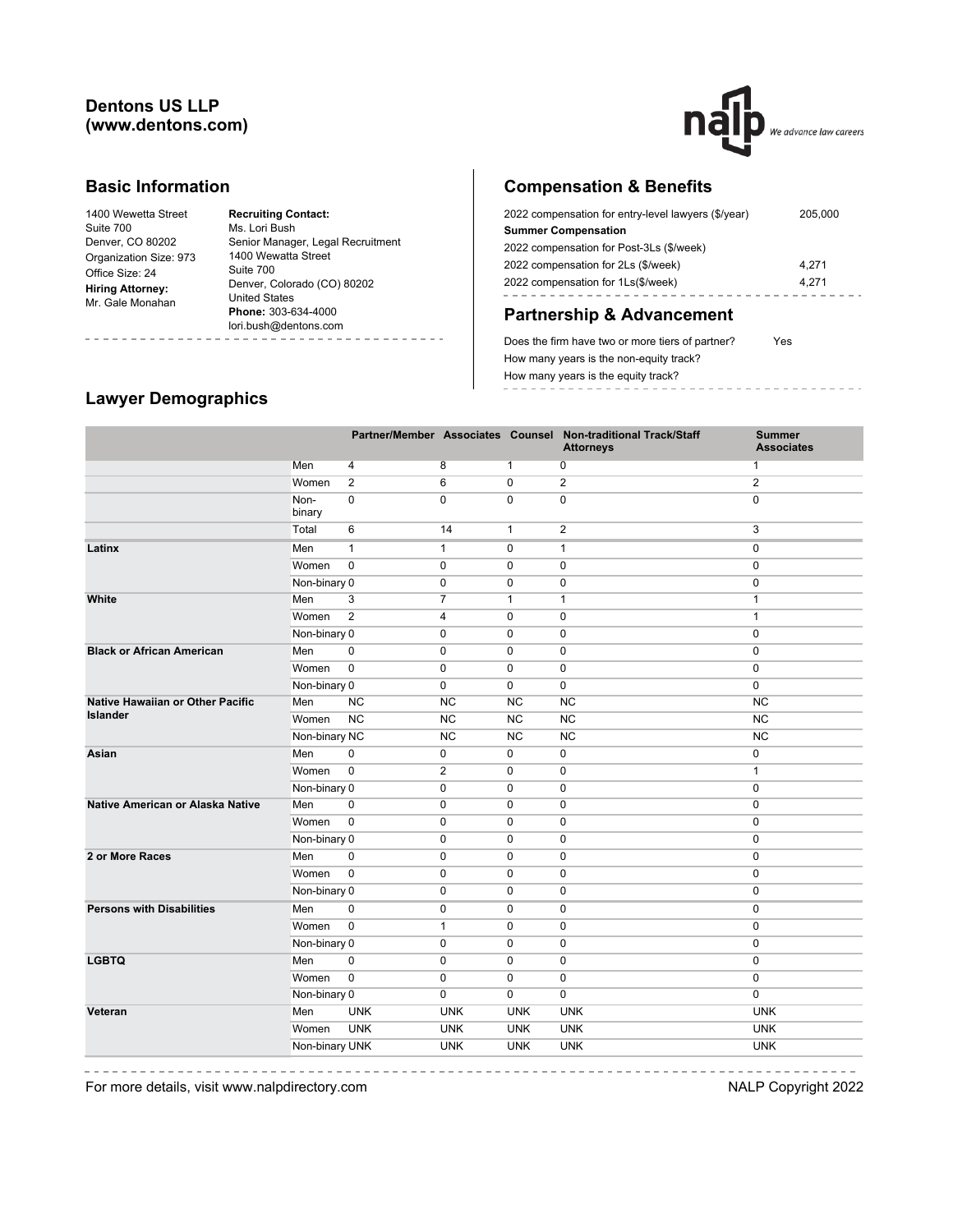## **Dentons US LLP (www.dentons.com)**



#### **Basic Information**

| 1400 Wewetta Street     | <b>Recruiting Contact:</b>        |
|-------------------------|-----------------------------------|
| Suite 700               | Ms. Lori Bush                     |
| Denver, CO 80202        | Senior Manager, Legal Recruitment |
| Organization Size: 973  | 1400 Wewatta Street               |
| Office Size: 24         | Suite 700                         |
| <b>Hiring Attorney:</b> | Denver, Colorado (CO) 80202       |
| Mr. Gale Monahan        | <b>United States</b>              |
|                         | Phone: 303-634-4000               |
|                         | lori.bush@dentons.com             |

# **Compensation & Benefits**

| 2022 compensation for entry-level lawyers (\$/year) | 205,000 |
|-----------------------------------------------------|---------|
| <b>Summer Compensation</b>                          |         |
| 2022 compensation for Post-3Ls (\$/week)            |         |
| 2022 compensation for 2Ls (\$/week)                 | 4.271   |
| 2022 compensation for 1Ls(\$/week)                  | 4.271   |
|                                                     |         |

# **Partnership & Advancement**

Does the firm have two or more tiers of partner? Yes How many years is the non-equity track? How many years is the equity track? ------------

# **Lawyer Demographics**

|                                  |                |                |                |              | Partner/Member Associates Counsel Non-traditional Track/Staff<br><b>Attorneys</b> | <b>Summer</b><br><b>Associates</b> |
|----------------------------------|----------------|----------------|----------------|--------------|-----------------------------------------------------------------------------------|------------------------------------|
|                                  | Men            | 4              | 8              | $\mathbf{1}$ | 0                                                                                 | 1                                  |
|                                  | Women          | $\overline{2}$ | 6              | 0            | $\overline{2}$                                                                    | $\overline{2}$                     |
|                                  | Non-<br>binary | $\pmb{0}$      | $\mathbf 0$    | $\mathbf 0$  | $\pmb{0}$                                                                         | $\mathbf 0$                        |
|                                  | Total          | 6              | 14             | $\mathbf{1}$ | $\overline{2}$                                                                    | 3                                  |
| Latinx                           | Men            | $\mathbf{1}$   | $\mathbf{1}$   | $\mathbf 0$  | 1                                                                                 | $\mathbf 0$                        |
|                                  | Women          | $\mathbf 0$    | $\mathbf 0$    | $\mathbf 0$  | $\mathbf 0$                                                                       | $\mathbf 0$                        |
|                                  | Non-binary 0   |                | $\mathbf 0$    | $\mathbf 0$  | $\mathbf 0$                                                                       | $\mathbf 0$                        |
| White                            | Men            | 3              | $\overline{7}$ | $\mathbf{1}$ | $\mathbf{1}$                                                                      | $\mathbf{1}$                       |
|                                  | Women          | $\overline{2}$ | 4              | $\mathbf 0$  | 0                                                                                 | $\mathbf{1}$                       |
|                                  | Non-binary 0   |                | $\mathbf 0$    | $\mathbf 0$  | 0                                                                                 | $\mathbf 0$                        |
| <b>Black or African American</b> | Men            | $\pmb{0}$      | $\pmb{0}$      | $\mathbf 0$  | $\mathbf 0$                                                                       | $\mathbf 0$                        |
|                                  | Women          | $\mathbf 0$    | $\mathbf 0$    | $\mathbf 0$  | $\mathbf 0$                                                                       | $\mathbf 0$                        |
|                                  | Non-binary 0   |                | $\mathbf 0$    | $\mathbf 0$  | $\mathbf 0$                                                                       | 0                                  |
| Native Hawaiian or Other Pacific | Men            | <b>NC</b>      | <b>NC</b>      | <b>NC</b>    | <b>NC</b>                                                                         | <b>NC</b>                          |
| <b>Islander</b>                  | Women          | NC             | <b>NC</b>      | <b>NC</b>    | <b>NC</b>                                                                         | <b>NC</b>                          |
|                                  | Non-binary NC  |                | <b>NC</b>      | NC           | <b>NC</b>                                                                         | NC                                 |
| Asian                            | Men            | 0              | $\pmb{0}$      | 0            | 0                                                                                 | 0                                  |
|                                  | Women          | $\mathbf 0$    | $\overline{2}$ | $\mathbf 0$  | 0                                                                                 | $\mathbf{1}$                       |
|                                  | Non-binary 0   |                | $\pmb{0}$      | $\pmb{0}$    | 0                                                                                 | $\pmb{0}$                          |
| Native American or Alaska Native | Men            | 0              | 0              | 0            | 0                                                                                 | 0                                  |
|                                  | Women          | $\overline{0}$ | 0              | 0            | 0                                                                                 | $\pmb{0}$                          |
|                                  | Non-binary 0   |                | 0              | $\mathbf 0$  | 0                                                                                 | 0                                  |
| 2 or More Races                  | Men            | $\mathbf 0$    | 0              | $\mathbf 0$  | $\mathbf 0$                                                                       | $\mathbf 0$                        |
|                                  | Women          | $\mathbf 0$    | $\mathbf 0$    | $\mathbf 0$  | $\mathbf 0$                                                                       | $\mathbf 0$                        |
|                                  | Non-binary 0   |                | 0              | 0            | 0                                                                                 | $\pmb{0}$                          |
| <b>Persons with Disabilities</b> | Men            | 0              | 0              | 0            | 0                                                                                 | $\mathbf 0$                        |
|                                  | Women          | $\mathbf 0$    | $\mathbf{1}$   | 0            | $\mathbf 0$                                                                       | $\mathbf 0$                        |
|                                  | Non-binary 0   |                | 0              | 0            | 0                                                                                 | $\mathbf 0$                        |
| <b>LGBTQ</b>                     | Men            | $\mathbf 0$    | 0              | $\mathbf 0$  | 0                                                                                 | $\mathbf 0$                        |
|                                  | Women          | $\mathbf 0$    | $\mathbf 0$    | $\mathbf 0$  | $\mathbf 0$                                                                       | $\mathbf 0$                        |
|                                  | Non-binary 0   |                | $\mathbf 0$    | $\mathbf 0$  | 0                                                                                 | $\mathbf 0$                        |
| Veteran                          | Men            | <b>UNK</b>     | <b>UNK</b>     | <b>UNK</b>   | <b>UNK</b>                                                                        | <b>UNK</b>                         |
|                                  | Women          | <b>UNK</b>     | <b>UNK</b>     | <b>UNK</b>   | <b>UNK</b>                                                                        | <b>UNK</b>                         |
|                                  | Non-binary UNK |                | <b>UNK</b>     | <b>UNK</b>   | <b>UNK</b>                                                                        | <b>UNK</b>                         |
|                                  |                |                |                |              |                                                                                   |                                    |

For more details, visit www.nalpdirectory.com NALP Copyright 2022

----------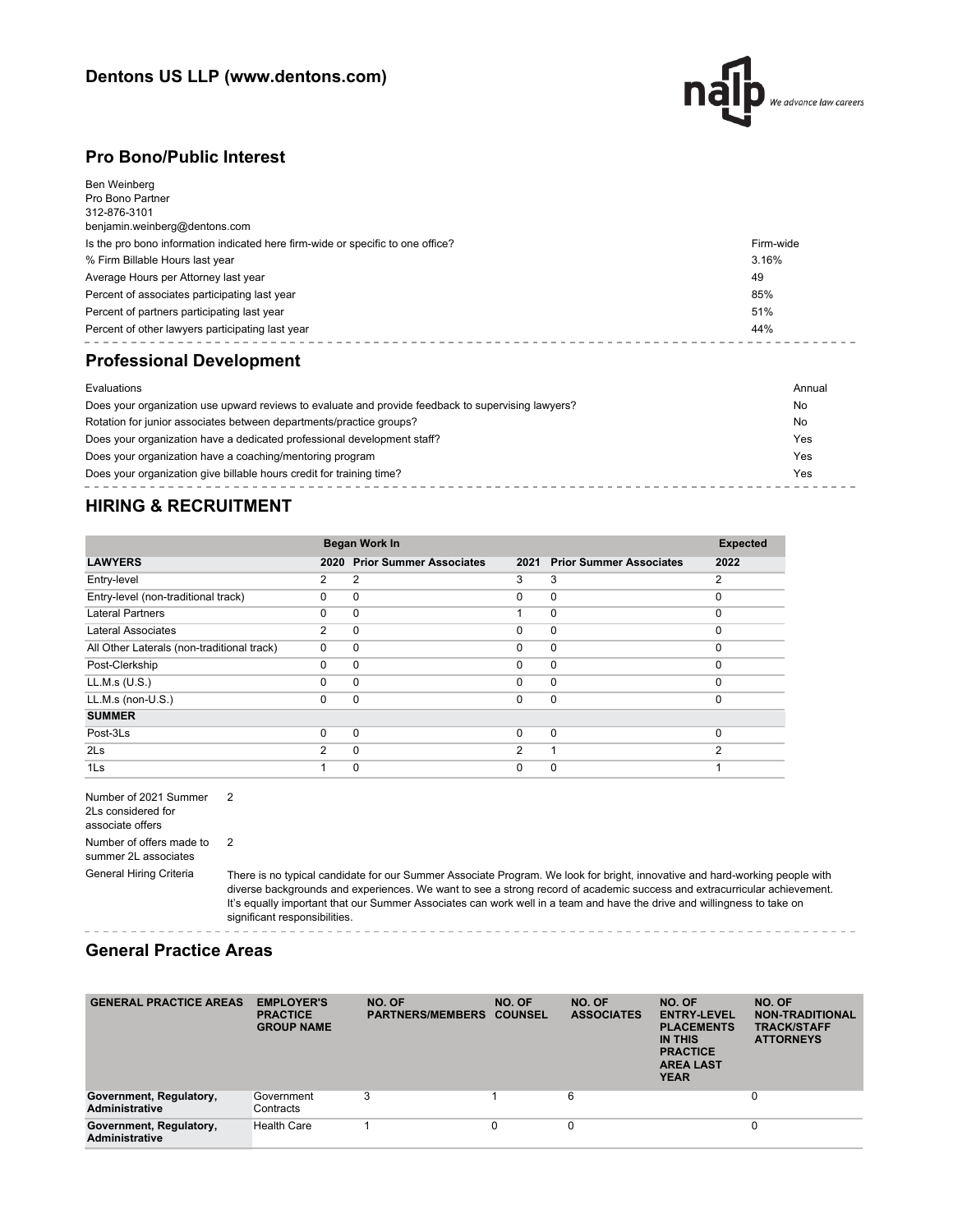

### **Pro Bono/Public Interest**

| Evaluations                                                                     | Annual    |
|---------------------------------------------------------------------------------|-----------|
| <b>Professional Development</b>                                                 |           |
| Percent of other lawyers participating last year                                | 44%       |
| Percent of partners participating last year                                     | 51%       |
| Percent of associates participating last year                                   | 85%       |
| Average Hours per Attorney last year                                            | 49        |
| % Firm Billable Hours last year                                                 | 3.16%     |
| Is the pro bono information indicated here firm-wide or specific to one office? | Firm-wide |
| benjamin.weinberg@dentons.com                                                   |           |
| Pro Bono Partner<br>312-876-3101                                                |           |
| Ben Weinberg                                                                    |           |

| Does your organization use upward reviews to evaluate and provide feedback to supervising lawyers? | No  |
|----------------------------------------------------------------------------------------------------|-----|
| Rotation for junior associates between departments/practice groups?                                | No  |
| Does your organization have a dedicated professional development staff?                            | Yes |
| Does your organization have a coaching/mentoring program                                           | Yes |
| Does your organization give billable hours credit for training time?                               | Yes |

## **HIRING & RECRUITMENT**

|                                            |               | Began Work In                  |                |                                |          |  |
|--------------------------------------------|---------------|--------------------------------|----------------|--------------------------------|----------|--|
| <b>LAWYERS</b>                             | 2020          | <b>Prior Summer Associates</b> | 2021           | <b>Prior Summer Associates</b> | 2022     |  |
| Entry-level                                | 2             | $\overline{2}$                 | 3              | 3                              | 2        |  |
| Entry-level (non-traditional track)        | $\Omega$      | 0                              | $\Omega$       | $\mathbf 0$                    | $\Omega$ |  |
| <b>Lateral Partners</b>                    | $\Omega$      | $\Omega$                       | 1              | $\mathbf 0$                    | $\Omega$ |  |
| Lateral Associates                         | 2             | $\Omega$                       | $\Omega$       | $\mathbf 0$                    | $\Omega$ |  |
| All Other Laterals (non-traditional track) | $\Omega$      | 0                              | $\Omega$       | $\mathbf 0$                    | $\Omega$ |  |
| Post-Clerkship                             | $\Omega$      | $\Omega$                       | $\Omega$       | $\mathbf 0$                    | $\Omega$ |  |
| LL.M.s (U.S.)                              | 0             | $\Omega$                       | $\Omega$       | $\mathbf 0$                    | $\Omega$ |  |
| $LL.M.s$ (non- $U.S.$ )                    | $\Omega$      | $\Omega$                       | 0              | $\mathbf 0$                    | $\Omega$ |  |
| <b>SUMMER</b>                              |               |                                |                |                                |          |  |
| Post-3Ls                                   | $\Omega$      | $\Omega$                       | $\Omega$       | $\mathbf 0$                    | $\Omega$ |  |
| 2 <sub>ls</sub>                            | $\mathcal{P}$ | $\Omega$                       | $\overline{2}$ |                                | 2        |  |
| 1Ls                                        |               | 0                              | 0              | 0                              |          |  |

Number of 2021 Summer 2 2Ls considered for associate offers Number of offers made to summer 2L associates 2

General Hiring Criteria There is no typical candidate for our Summer Associate Program. We look for bright, innovative and hard-working people with diverse backgrounds and experiences. We want to see a strong record of academic success and extracurricular achievement. It's equally important that our Summer Associates can work well in a team and have the drive and willingness to take on significant responsibilities.

#### **General Practice Areas**

| <b>GENERAL PRACTICE AREAS</b>                    | <b>EMPLOYER'S</b><br><b>PRACTICE</b><br><b>GROUP NAME</b> | NO. OF<br><b>PARTNERS/MEMBERS</b> | NO. OF<br><b>COUNSEL</b> | NO. OF<br><b>ASSOCIATES</b> | NO. OF<br><b>ENTRY-LEVEL</b><br><b>PLACEMENTS</b><br>IN THIS<br><b>PRACTICE</b><br><b>AREA LAST</b><br><b>YEAR</b> | NO. OF<br><b>NON-TRADITIONAL</b><br><b>TRACK/STAFF</b><br><b>ATTORNEYS</b> |
|--------------------------------------------------|-----------------------------------------------------------|-----------------------------------|--------------------------|-----------------------------|--------------------------------------------------------------------------------------------------------------------|----------------------------------------------------------------------------|
| Government, Regulatory,<br><b>Administrative</b> | Government<br>Contracts                                   | 3                                 |                          | 6                           |                                                                                                                    | 0                                                                          |
| Government, Regulatory,<br><b>Administrative</b> | <b>Health Care</b>                                        |                                   |                          | 0                           |                                                                                                                    | 0                                                                          |